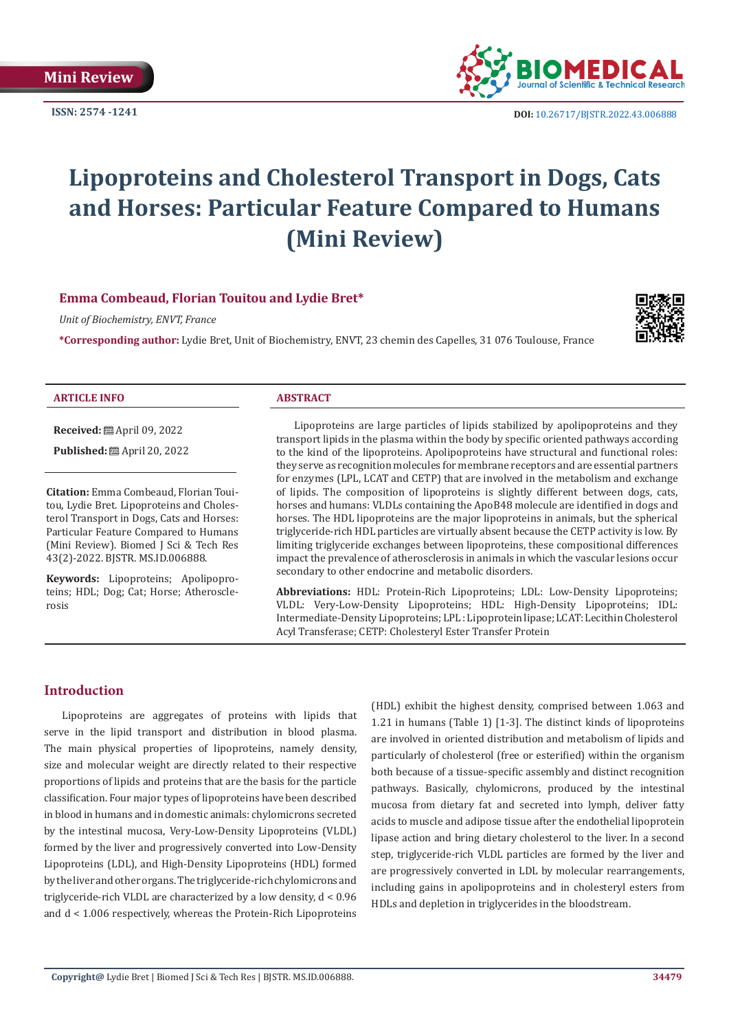

**ISSN:** 2574 -1241 **DOI:** [10.26717/BJSTR.2022.43.006888](https://dx.doi.org/10.26717/BJSTR.2022.43.006888)

# **Lipoproteins and Cholesterol Transport in Dogs, Cats and Horses: Particular Feature Compared to Humans (Mini Review)**

# **Emma Combeaud, Florian Touitou and Lydie Bret\***

*Unit of Biochemistry, ENVT, France* 

**\*Corresponding author:** Lydie Bret, Unit of Biochemistry, ENVT, 23 chemin des Capelles, 31 076 Toulouse, France



#### **ARTICLE INFO ABSTRACT**

**Received:** ■ April 09, 2022

**Published:** April 20, 2022

**Citation:** Emma Combeaud, Florian Touitou, Lydie Bret. Lipoproteins and Cholesterol Transport in Dogs, Cats and Horses: Particular Feature Compared to Humans (Mini Review). Biomed J Sci & Tech Res 43(2)-2022. BJSTR. MS.ID.006888.

**Keywords:** Lipoproteins; Apolipoproteins; HDL; Dog; Cat; Horse; Atherosclerosis

Lipoproteins are large particles of lipids stabilized by apolipoproteins and they transport lipids in the plasma within the body by specific oriented pathways according to the kind of the lipoproteins. Apolipoproteins have structural and functional roles: they serve as recognition molecules for membrane receptors and are essential partners for enzymes (LPL, LCAT and CETP) that are involved in the metabolism and exchange of lipids. The composition of lipoproteins is slightly different between dogs, cats, horses and humans: VLDLs containing the ApoB48 molecule are identified in dogs and horses. The HDL lipoproteins are the major lipoproteins in animals, but the spherical triglyceride-rich HDL particles are virtually absent because the CETP activity is low. By limiting triglyceride exchanges between lipoproteins, these compositional differences impact the prevalence of atherosclerosis in animals in which the vascular lesions occur secondary to other endocrine and metabolic disorders.

**Abbreviations:** HDL: Protein-Rich Lipoproteins; LDL: Low-Density Lipoproteins; VLDL: Very-Low-Density Lipoproteins; HDL: High-Density Lipoproteins; IDL: Intermediate-Density Lipoproteins; LPL : Lipoprotein lipase; LCAT: Lecithin Cholesterol Acyl Transferase; CETP: Cholesteryl Ester Transfer Protein

# **Introduction**

Lipoproteins are aggregates of proteins with lipids that serve in the lipid transport and distribution in blood plasma. The main physical properties of lipoproteins, namely density, size and molecular weight are directly related to their respective proportions of lipids and proteins that are the basis for the particle classification. Four major types of lipoproteins have been described in blood in humans and in domestic animals: chylomicrons secreted by the intestinal mucosa, Very-Low-Density Lipoproteins (VLDL) formed by the liver and progressively converted into Low-Density Lipoproteins (LDL), and High-Density Lipoproteins (HDL) formed by the liver and other organs. The triglyceride-rich chylomicrons and triglyceride-rich VLDL are characterized by a low density, d < 0.96 and d < 1.006 respectively, whereas the Protein-Rich Lipoproteins

(HDL) exhibit the highest density, comprised between 1.063 and 1.21 in humans (Table 1) [1-3]. The distinct kinds of lipoproteins are involved in oriented distribution and metabolism of lipids and particularly of cholesterol (free or esterified) within the organism both because of a tissue-specific assembly and distinct recognition pathways. Basically, chylomicrons, produced by the intestinal mucosa from dietary fat and secreted into lymph, deliver fatty acids to muscle and adipose tissue after the endothelial lipoprotein lipase action and bring dietary cholesterol to the liver. In a second step, triglyceride-rich VLDL particles are formed by the liver and are progressively converted in LDL by molecular rearrangements, including gains in apolipoproteins and in cholesteryl esters from HDLs and depletion in triglycerides in the bloodstream.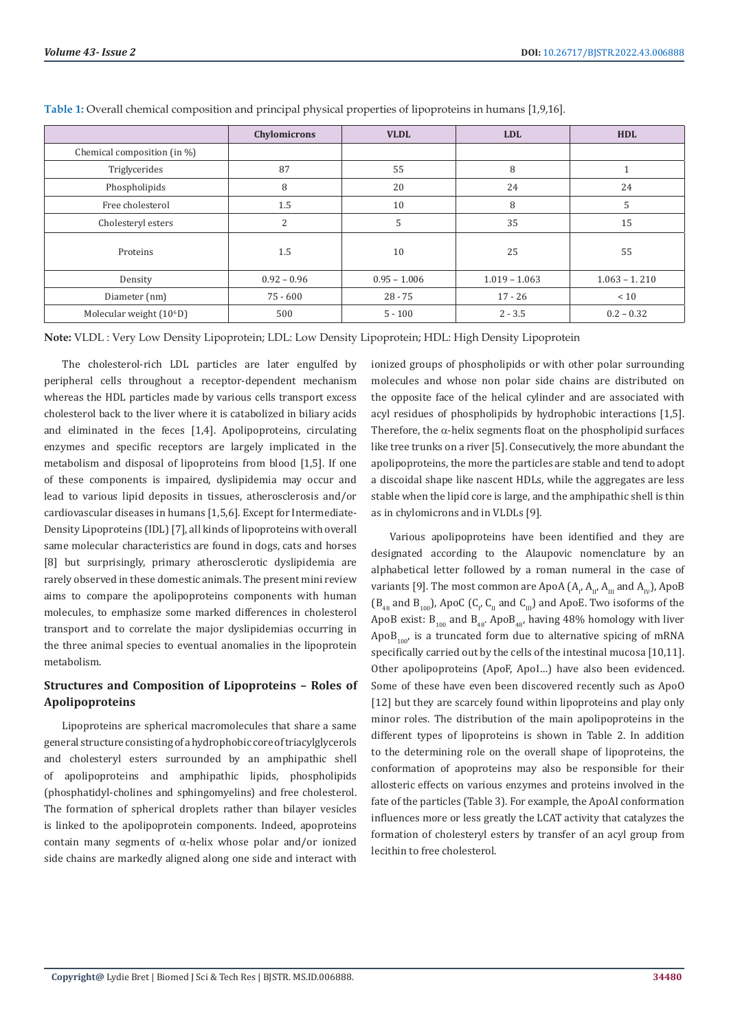|                             | Chylomicrons  | <b>VLDL</b>    | <b>LDL</b>      | <b>HDL</b>      |
|-----------------------------|---------------|----------------|-----------------|-----------------|
| Chemical composition (in %) |               |                |                 |                 |
| Triglycerides               | 87            | 55             | 8               |                 |
| Phospholipids               | 8             | 20             | 24              | 24              |
| Free cholesterol            | 1.5           | 10             | 8               | 5               |
| Cholesteryl esters          | 2             | 5              | 35              | 15              |
| Proteins                    | 1.5           | 10             | 25              | 55              |
| Density                     | $0.92 - 0.96$ | $0.95 - 1.006$ | $1.019 - 1.063$ | $1.063 - 1.210$ |
| Diameter (nm)               | $75 - 600$    | $28 - 75$      | $17 - 26$       | $<10$           |
| Molecular weight $(106 D)$  | 500           | $5 - 100$      | $2 - 3.5$       | $0.2 - 0.32$    |

**Table 1:** Overall chemical composition and principal physical properties of lipoproteins in humans [1,9,16].

**Note:** VLDL : Very Low Density Lipoprotein; LDL: Low Density Lipoprotein; HDL: High Density Lipoprotein

The cholesterol-rich LDL particles are later engulfed by peripheral cells throughout a receptor-dependent mechanism whereas the HDL particles made by various cells transport excess cholesterol back to the liver where it is catabolized in biliary acids and eliminated in the feces [1,4]. Apolipoproteins, circulating enzymes and specific receptors are largely implicated in the metabolism and disposal of lipoproteins from blood [1,5]. If one of these components is impaired, dyslipidemia may occur and lead to various lipid deposits in tissues, atherosclerosis and/or cardiovascular diseases in humans [1,5,6]. Except for Intermediate-Density Lipoproteins (IDL) [7], all kinds of lipoproteins with overall same molecular characteristics are found in dogs, cats and horses [8] but surprisingly, primary atherosclerotic dyslipidemia are rarely observed in these domestic animals. The present mini review aims to compare the apolipoproteins components with human molecules, to emphasize some marked differences in cholesterol transport and to correlate the major dyslipidemias occurring in the three animal species to eventual anomalies in the lipoprotein metabolism.

# **Structures and Composition of Lipoproteins – Roles of Apolipoproteins**

Lipoproteins are spherical macromolecules that share a same general structure consisting of a hydrophobic core of triacylglycerols and cholesteryl esters surrounded by an amphipathic shell of apolipoproteins and amphipathic lipids, phospholipids (phosphatidyl-cholines and sphingomyelins) and free cholesterol. The formation of spherical droplets rather than bilayer vesicles is linked to the apolipoprotein components. Indeed, apoproteins contain many segments of  $\alpha$ -helix whose polar and/or ionized side chains are markedly aligned along one side and interact with

ionized groups of phospholipids or with other polar surrounding molecules and whose non polar side chains are distributed on the opposite face of the helical cylinder and are associated with acyl residues of phospholipids by hydrophobic interactions [1,5]. Therefore, the  $\alpha$ -helix segments float on the phospholipid surfaces like tree trunks on a river [5]. Consecutively, the more abundant the apolipoproteins, the more the particles are stable and tend to adopt a discoidal shape like nascent HDLs, while the aggregates are less stable when the lipid core is large, and the amphipathic shell is thin as in chylomicrons and in VLDLs [9].

Various apolipoproteins have been identified and they are designated according to the Alaupovic nomenclature by an alphabetical letter followed by a roman numeral in the case of variants [9]. The most common are ApoA  $(A_\mu, A_{_\mathrm{II}}, A_{_\mathrm{III}}$  and  $A_\mathrm{IV}$ ), ApoB  $(B_{48}$  and  $B_{100}$ ), ApoC (C<sub>P</sub>, C<sub>II</sub> and C<sub>III</sub>) and ApoE. Two isoforms of the ApoB exist:  $B_{100}$  and  $B_{48}$ . ApoB<sub>48</sub>, having 48% homology with liver  $ApoB_{100}$  is a truncated form due to alternative spicing of mRNA specifically carried out by the cells of the intestinal mucosa [10,11]. Other apolipoproteins (ApoF, ApoI…) have also been evidenced. Some of these have even been discovered recently such as ApoO [12] but they are scarcely found within lipoproteins and play only minor roles. The distribution of the main apolipoproteins in the different types of lipoproteins is shown in Table 2. In addition to the determining role on the overall shape of lipoproteins, the conformation of apoproteins may also be responsible for their allosteric effects on various enzymes and proteins involved in the fate of the particles (Table 3). For example, the ApoAI conformation influences more or less greatly the LCAT activity that catalyzes the formation of cholesteryl esters by transfer of an acyl group from lecithin to free cholesterol.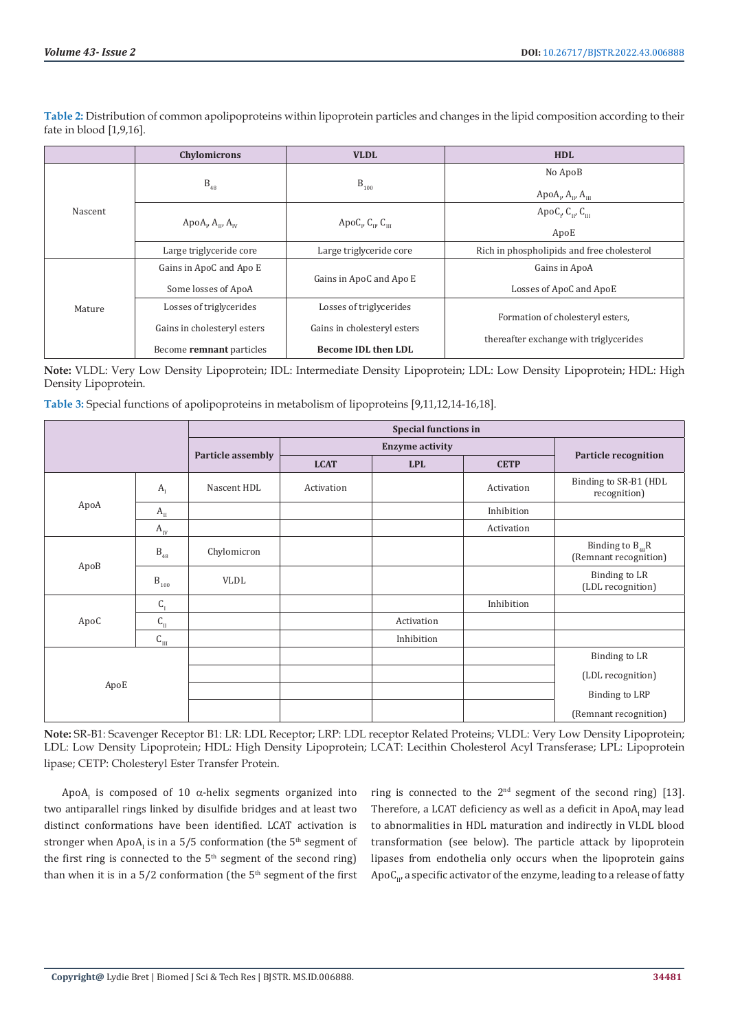|         | Chylomicrons                          | <b>VLDL</b>                          | <b>HDL</b>                                 |
|---------|---------------------------------------|--------------------------------------|--------------------------------------------|
| Nascent |                                       |                                      | No ApoB                                    |
|         | $\mathsf{B}_{\scriptscriptstyle{48}}$ | $B_{100}$                            | Apo $A_{\mu}$ , $A_{\mu}$ , $A_{\mu}$      |
|         | Apo $A_{\mu}$ , $A_{\mu}$ , $A_{\nu}$ |                                      | Apo $C_{12}$ , $C_{112}$ , $C_{111}$       |
|         |                                       | Apo $C_{I'}$ , $C_{II'}$ , $C_{III}$ | ApoE                                       |
|         | Large triglyceride core               | Large triglyceride core              | Rich in phospholipids and free cholesterol |
| Mature  | Gains in ApoC and Apo E               |                                      | Gains in ApoA                              |
|         | Some losses of ApoA                   | Gains in ApoC and Apo E              | Losses of ApoC and ApoE                    |
|         | Losses of triglycerides               | Losses of triglycerides              |                                            |
|         | Gains in cholesteryl esters           | Gains in cholesteryl esters          | Formation of cholesteryl esters,           |
|         | Become remnant particles              | <b>Become IDL then LDL</b>           | thereafter exchange with triglycerides     |

**Table 2:** Distribution of common apolipoproteins within lipoprotein particles and changes in the lipid composition according to their fate in blood [1,9,16].

**Note:** VLDL: Very Low Density Lipoprotein; IDL: Intermediate Density Lipoprotein; LDL: Low Density Lipoprotein; HDL: High Density Lipoprotein.

**Table 3:** Special functions of apolipoproteins in metabolism of lipoproteins [9,11,12,14-16,18].

|      |                          | <b>Special functions in</b> |                        |            |             |                                               |
|------|--------------------------|-----------------------------|------------------------|------------|-------------|-----------------------------------------------|
|      |                          |                             | <b>Enzyme activity</b> |            |             |                                               |
|      |                          | <b>Particle assembly</b>    | <b>LCAT</b>            | <b>LPL</b> | <b>CETP</b> | <b>Particle recognition</b>                   |
| ApoA | A <sub>I</sub>           | Nascent HDL                 | Activation             |            | Activation  | Binding to SR-B1 (HDL<br>recognition)         |
|      | $\mathbf{A}_{\rm II}$    |                             |                        |            | Inhibition  |                                               |
|      | $A_{IV}$                 |                             |                        |            | Activation  |                                               |
| ApoB | $\mathsf B_{48}$         | Chylomicron                 |                        |            |             | Binding to $B_{48}R$<br>(Remnant recognition) |
|      | $\mathbf{B}_{100}$       | <b>VLDL</b>                 |                        |            |             | Binding to LR<br>(LDL recognition)            |
| ApoC | $C_{I}$                  |                             |                        |            | Inhibition  |                                               |
|      | $\textsf{C}_\textsc{ii}$ |                             |                        | Activation |             |                                               |
|      | $C_{III}$                |                             |                        | Inhibition |             |                                               |
| ApoE |                          |                             |                        |            |             | Binding to LR                                 |
|      |                          |                             |                        |            |             | (LDL recognition)                             |
|      |                          |                             |                        |            |             | <b>Binding to LRP</b>                         |
|      |                          |                             |                        |            |             | (Remnant recognition)                         |

**Note:** SR-B1: Scavenger Receptor B1: LR: LDL Receptor; LRP: LDL receptor Related Proteins; VLDL: Very Low Density Lipoprotein; LDL: Low Density Lipoprotein; HDL: High Density Lipoprotein; LCAT: Lecithin Cholesterol Acyl Transferase; LPL: Lipoprotein lipase; CETP: Cholesteryl Ester Transfer Protein.

Apo $A_{I}$  is composed of 10  $\alpha$ -helix segments organized into two antiparallel rings linked by disulfide bridges and at least two distinct conformations have been identified. LCAT activation is stronger when ApoA<sub><sub>I</sub> is in a 5/5 conformation (the 5<sup>th</sup> segment of</sub> the first ring is connected to the  $5<sup>th</sup>$  segment of the second ring) than when it is in a  $5/2$  conformation (the  $5<sup>th</sup>$  segment of the first

ring is connected to the  $2<sup>nd</sup>$  segment of the second ring) [13]. Therefore, a LCAT deficiency as well as a deficit in ApoA, may lead to abnormalities in HDL maturation and indirectly in VLDL blood transformation (see below). The particle attack by lipoprotein lipases from endothelia only occurs when the lipoprotein gains Apo $C_{\mu}$ , a specific activator of the enzyme, leading to a release of fatty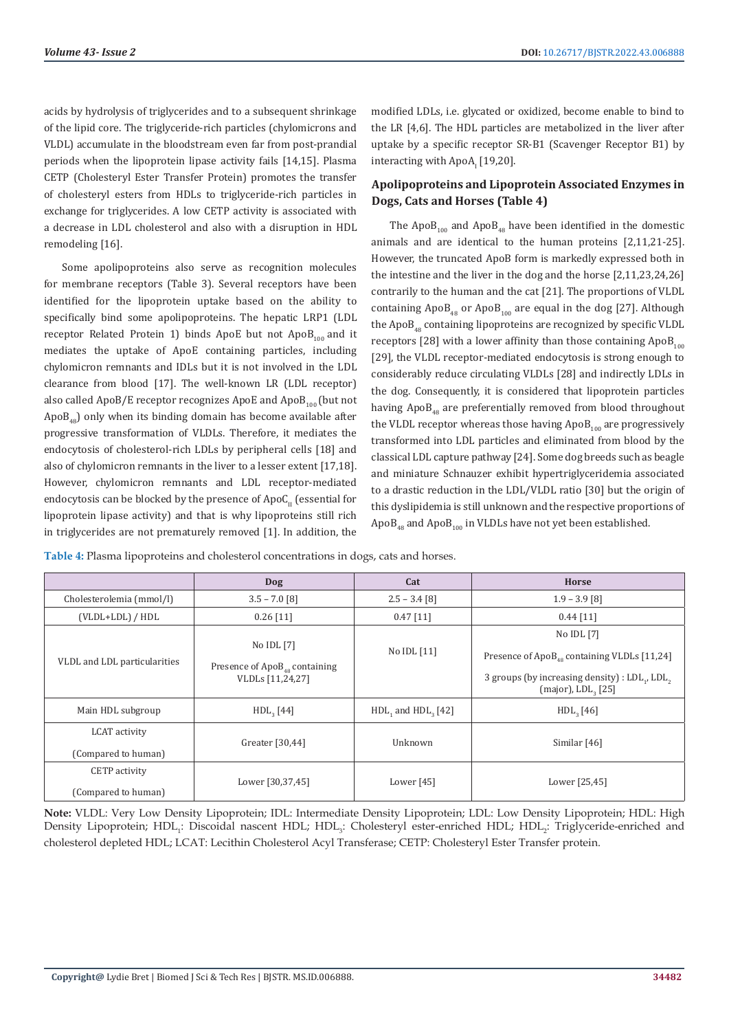acids by hydrolysis of triglycerides and to a subsequent shrinkage of the lipid core. The triglyceride-rich particles (chylomicrons and VLDL) accumulate in the bloodstream even far from post-prandial periods when the lipoprotein lipase activity fails [14,15]. Plasma CETP (Cholesteryl Ester Transfer Protein) promotes the transfer of cholesteryl esters from HDLs to triglyceride-rich particles in exchange for triglycerides. A low CETP activity is associated with a decrease in LDL cholesterol and also with a disruption in HDL remodeling [16].

Some apolipoproteins also serve as recognition molecules for membrane receptors (Table 3). Several receptors have been identified for the lipoprotein uptake based on the ability to specifically bind some apolipoproteins. The hepatic LRP1 (LDL receptor Related Protein 1) binds ApoE but not  $ApoB_{100}$  and it mediates the uptake of ApoE containing particles, including chylomicron remnants and IDLs but it is not involved in the LDL clearance from blood [17]. The well-known LR (LDL receptor) also called ApoB/E receptor recognizes ApoE and  $\text{ApoB}_{100}$  (but not  $ApoB<sub>49</sub>$ ) only when its binding domain has become available after progressive transformation of VLDLs. Therefore, it mediates the endocytosis of cholesterol-rich LDLs by peripheral cells [18] and also of chylomicron remnants in the liver to a lesser extent [17,18]. However, chylomicron remnants and LDL receptor-mediated endocytosis can be blocked by the presence of  $ApoC<sub>II</sub>$  (essential for lipoprotein lipase activity) and that is why lipoproteins still rich in triglycerides are not prematurely removed [1]. In addition, the

modified LDLs, i.e. glycated or oxidized, become enable to bind to the LR [4,6]. The HDL particles are metabolized in the liver after uptake by a specific receptor SR-B1 (Scavenger Receptor B1) by  $\rm{interacting}$  with  $\rm{ApoA}_I$  [19,20].

# **Apolipoproteins and Lipoprotein Associated Enzymes in Dogs, Cats and Horses (Table 4)**

The Apo $B_{100}$  and Apo $B_{48}$  have been identified in the domestic animals and are identical to the human proteins [2,11,21-25]. However, the truncated ApoB form is markedly expressed both in the intestine and the liver in the dog and the horse [2,11,23,24,26] contrarily to the human and the cat [21]. The proportions of VLDL containing  $ApoB_{48}$  or  $ApoB_{100}$  are equal in the dog [27]. Although the Apo $B_{48}$  containing lipoproteins are recognized by specific VLDL receptors [28] with a lower affinity than those containing  $ApoB_{100}$ [29], the VLDL receptor-mediated endocytosis is strong enough to considerably reduce circulating VLDLs [28] and indirectly LDLs in the dog. Consequently, it is considered that lipoprotein particles having  $ApoB_{48}$  are preferentially removed from blood throughout the VLDL receptor whereas those having  $ApoB_{100}$  are progressively transformed into LDL particles and eliminated from blood by the classical LDL capture pathway [24]. Some dog breeds such as beagle and miniature Schnauzer exhibit hypertriglyceridemia associated to a drastic reduction in the LDL/VLDL ratio [30] but the origin of this dyslipidemia is still unknown and the respective proportions of Apo $B_{48}$  and Apo $B_{100}$  in VLDLs have not yet been established.

| Table 4: Plasma lipoproteins and cholesterol concentrations in dogs, cats and horses. |  |  |  |  |  |
|---------------------------------------------------------------------------------------|--|--|--|--|--|

|                              | Dog                                                                  | Cat                        | Horse                                                              |
|------------------------------|----------------------------------------------------------------------|----------------------------|--------------------------------------------------------------------|
| Cholesterolemia (mmol/l)     | $3.5 - 7.0$ [8]                                                      | $2.5 - 3.4$ [8]            | $1.9 - 3.9$ [8]                                                    |
| (VLDL+LDL) / HDL             | $0.26$ [11]                                                          | $0.47$ [11]                | $0.44$ [11]                                                        |
|                              |                                                                      |                            | No IDL [7]                                                         |
| VLDL and LDL particularities | No IDL [7]<br>Presence of $ApoB_{48}$ containing<br>VLDLs [11,24,27] | No IDL [11]                | Presence of ApoB <sub>48</sub> containing VLDLs [11,24]            |
|                              |                                                                      |                            | 3 groups (by increasing density) : LDL, LDL,<br>(major), LDL, [25] |
| Main HDL subgroup            | HDL <sub>3</sub> [44]                                                | $HDL$ , and $HDL$ , $[42]$ | HDL <sub>3</sub> [46]                                              |
| LCAT activity                |                                                                      |                            |                                                                    |
| (Compared to human)          | Greater [30,44]                                                      | Unknown                    | Similar [46]                                                       |
| <b>CETP</b> activity         |                                                                      |                            |                                                                    |
| (Compared to human)          | Lower [30,37,45]                                                     | Lower $[45]$               | Lower [25,45]                                                      |

**Note:** VLDL: Very Low Density Lipoprotein; IDL: Intermediate Density Lipoprotein; LDL: Low Density Lipoprotein; HDL: High Density Lipoprotein; HDL<sub>1</sub>: Discoidal nascent HDL; HDL<sub>3</sub>: Cholesteryl ester-enriched HDL; HDL<sub>2</sub>: Triglyceride-enriched and cholesterol depleted HDL; LCAT: Lecithin Cholesterol Acyl Transferase; CETP: Cholesteryl Ester Transfer protein.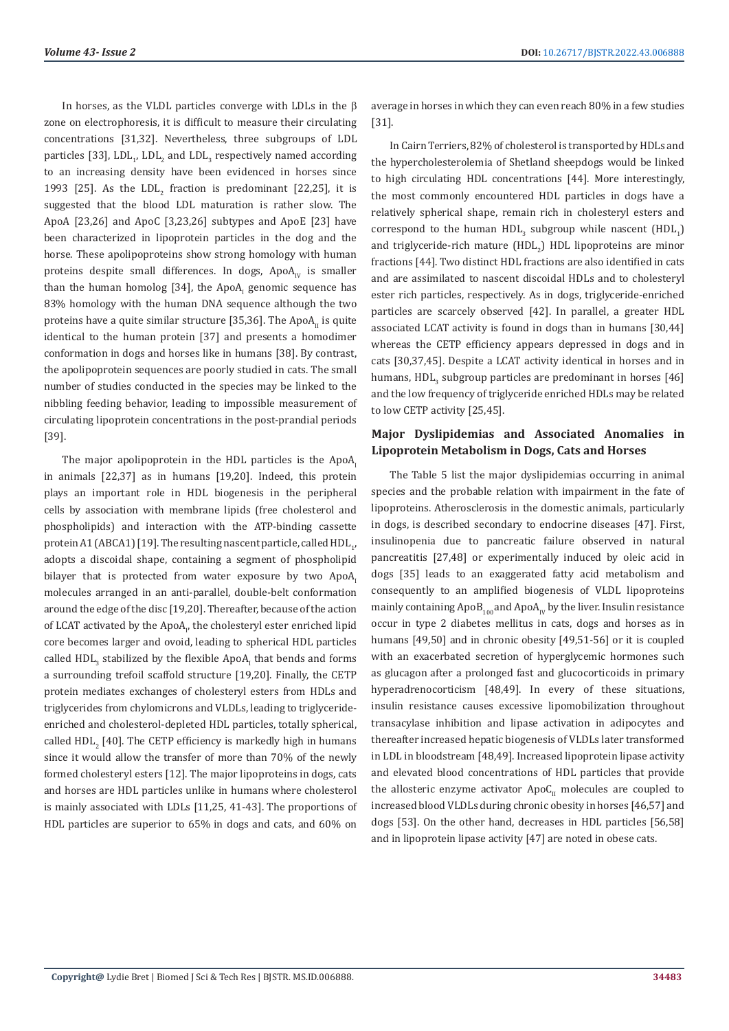In horses, as the VLDL particles converge with LDLs in the β zone on electrophoresis, it is difficult to measure their circulating concentrations [31,32]. Nevertheless, three subgroups of LDL particles [33],  $LDL_{1'}$   $LDL_{2}$  and  $LDL_{3}$  respectively named according to an increasing density have been evidenced in horses since 1993 [25]. As the  $LDL<sub>2</sub>$  fraction is predominant [22,25], it is suggested that the blood LDL maturation is rather slow. The ApoA [23,26] and ApoC [3,23,26] subtypes and ApoE [23] have been characterized in lipoprotein particles in the dog and the horse. These apolipoproteins show strong homology with human proteins despite small differences. In dogs,  $ApoA<sub>w</sub>$  is smaller than the human homolog  $[34]$ , the ApoA<sub>I</sub> genomic sequence has 83% homology with the human DNA sequence although the two proteins have a quite similar structure [35,36]. The Apo $A<sub>u</sub>$  is quite identical to the human protein [37] and presents a homodimer conformation in dogs and horses like in humans [38]. By contrast, the apolipoprotein sequences are poorly studied in cats. The small number of studies conducted in the species may be linked to the nibbling feeding behavior, leading to impossible measurement of circulating lipoprotein concentrations in the post-prandial periods [39].

The major apolipoprotein in the HDL particles is the ApoA, in animals [22,37] as in humans [19,20]. Indeed, this protein plays an important role in HDL biogenesis in the peripheral cells by association with membrane lipids (free cholesterol and phospholipids) and interaction with the ATP-binding cassette protein A1 (ABCA1) [19]. The resulting nascent particle, called  $\mathrm{HDL}_{\mathbf{1}'}$ adopts a discoidal shape, containing a segment of phospholipid bilayer that is protected from water exposure by two ApoA, molecules arranged in an anti-parallel, double-belt conformation around the edge of the disc [19,20]. Thereafter, because of the action of LCAT activated by the ApoA<sub>i</sub>, the cholesteryl ester enriched lipid core becomes larger and ovoid, leading to spherical HDL particles called  $HDL<sub>3</sub>$  stabilized by the flexible  $ApoA<sub>1</sub>$  that bends and forms a surrounding trefoil scaffold structure [19,20]. Finally, the CETP protein mediates exchanges of cholesteryl esters from HDLs and triglycerides from chylomicrons and VLDLs, leading to triglycerideenriched and cholesterol-depleted HDL particles, totally spherical, called  $HDL<sub>2</sub>$  [40]. The CETP efficiency is markedly high in humans since it would allow the transfer of more than 70% of the newly formed cholesteryl esters [12]. The major lipoproteins in dogs, cats and horses are HDL particles unlike in humans where cholesterol is mainly associated with LDLs [11,25, 41-43]. The proportions of HDL particles are superior to 65% in dogs and cats, and 60% on

average in horses in which they can even reach 80% in a few studies [31].

In Cairn Terriers, 82% of cholesterol is transported by HDLs and the hypercholesterolemia of Shetland sheepdogs would be linked to high circulating HDL concentrations [44]. More interestingly, the most commonly encountered HDL particles in dogs have a relatively spherical shape, remain rich in cholesteryl esters and correspond to the human  $HDL<sub>3</sub>$  subgroup while nascent  $(HDL<sub>1</sub>)$ and triglyceride-rich mature  $(HDL<sub>2</sub>)$  HDL lipoproteins are minor fractions [44]. Two distinct HDL fractions are also identified in cats and are assimilated to nascent discoidal HDLs and to cholesteryl ester rich particles, respectively. As in dogs, triglyceride-enriched particles are scarcely observed [42]. In parallel, a greater HDL associated LCAT activity is found in dogs than in humans [30,44] whereas the CETP efficiency appears depressed in dogs and in cats [30,37,45]. Despite a LCAT activity identical in horses and in humans,  $HDL<sub>3</sub>$  subgroup particles are predominant in horses [46] and the low frequency of triglyceride enriched HDLs may be related to low CETP activity [25,45].

# **Major Dyslipidemias and Associated Anomalies in Lipoprotein Metabolism in Dogs, Cats and Horses**

The Table 5 list the major dyslipidemias occurring in animal species and the probable relation with impairment in the fate of lipoproteins. Atherosclerosis in the domestic animals, particularly in dogs, is described secondary to endocrine diseases [47]. First, insulinopenia due to pancreatic failure observed in natural pancreatitis [27,48] or experimentally induced by oleic acid in dogs [35] leads to an exaggerated fatty acid metabolism and consequently to an amplified biogenesis of VLDL lipoproteins mainly containing ApoB<sub>100</sub> and ApoA<sub>IV</sub> by the liver. Insulin resistance occur in type 2 diabetes mellitus in cats, dogs and horses as in humans [49,50] and in chronic obesity [49,51-56] or it is coupled with an exacerbated secretion of hyperglycemic hormones such as glucagon after a prolonged fast and glucocorticoids in primary hyperadrenocorticism [48,49]. In every of these situations, insulin resistance causes excessive lipomobilization throughout transacylase inhibition and lipase activation in adipocytes and thereafter increased hepatic biogenesis of VLDLs later transformed in LDL in bloodstream [48,49]. Increased lipoprotein lipase activity and elevated blood concentrations of HDL particles that provide the allosteric enzyme activator  $ApoC<sub>u</sub>$  molecules are coupled to increased blood VLDLs during chronic obesity in horses [46,57] and dogs [53]. On the other hand, decreases in HDL particles [56,58] and in lipoprotein lipase activity [47] are noted in obese cats.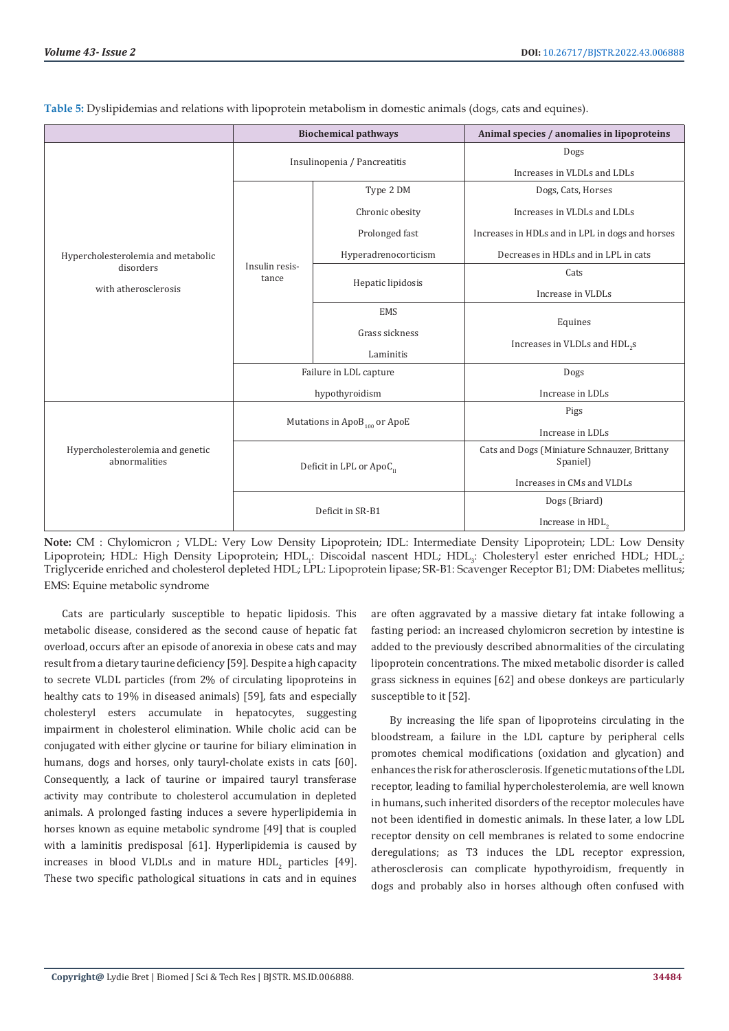|                                                   | <b>Biochemical pathways</b>              |                                 | Animal species / anomalies in lipoproteins               |
|---------------------------------------------------|------------------------------------------|---------------------------------|----------------------------------------------------------|
|                                                   | Insulinopenia / Pancreatitis             |                                 | Dogs                                                     |
|                                                   |                                          |                                 | Increases in VLDLs and LDLs                              |
|                                                   |                                          | Type 2 DM                       | Dogs, Cats, Horses                                       |
|                                                   |                                          | Chronic obesity                 | Increases in VLDLs and LDLs                              |
|                                                   |                                          | Prolonged fast                  | Increases in HDLs and in LPL in dogs and horses          |
| Hypercholesterolemia and metabolic                |                                          | Hyperadrenocorticism            | Decreases in HDLs and in LPL in cats                     |
| disorders                                         | Insulin resis-<br>tance                  | Hepatic lipidosis<br><b>EMS</b> | Cats                                                     |
| with atherosclerosis                              |                                          |                                 | Increase in VLDLs                                        |
|                                                   |                                          |                                 |                                                          |
|                                                   |                                          | Grass sickness                  | Equines                                                  |
|                                                   |                                          | Laminitis                       | Increases in VLDLs and HDL <sub>2</sub> s                |
|                                                   | Failure in LDL capture                   |                                 | Dogs                                                     |
|                                                   |                                          |                                 | Increase in LDLs                                         |
|                                                   | hypothyroidism                           |                                 |                                                          |
| Hypercholesterolemia and genetic<br>abnormalities | Mutations in ApoB <sub>100</sub> or ApoE |                                 | Pigs                                                     |
|                                                   |                                          |                                 | Increase in LDLs                                         |
|                                                   | Deficit in LPL or $ApoCII$               |                                 | Cats and Dogs (Miniature Schnauzer, Brittany<br>Spaniel) |
|                                                   |                                          |                                 | Increases in CMs and VLDLs                               |
|                                                   |                                          |                                 | Dogs (Briard)                                            |
|                                                   | Deficit in SR-B1                         |                                 | Increase in HDL,                                         |

**Table 5:** Dyslipidemias and relations with lipoprotein metabolism in domestic animals (dogs, cats and equines).

**Note:** CM : Chylomicron ; VLDL: Very Low Density Lipoprotein; IDL: Intermediate Density Lipoprotein; LDL: Low Density Lipoprotein; HDL: High Density Lipoprotein; HDL<sub>1</sub>: Discoidal nascent HDL; HDL<sub>3</sub>: Cholesteryl ester enriched HDL; HDL<sub>2</sub>: Triglyceride enriched and cholesterol depleted HDL; LPL: Lipoprotein lipase; SR-B1: Scavenger Receptor B1; DM: Diabetes mellitus; EMS: Equine metabolic syndrome

Cats are particularly susceptible to hepatic lipidosis. This metabolic disease, considered as the second cause of hepatic fat overload, occurs after an episode of anorexia in obese cats and may result from a dietary taurine deficiency [59]. Despite a high capacity to secrete VLDL particles (from 2% of circulating lipoproteins in healthy cats to 19% in diseased animals) [59], fats and especially cholesteryl esters accumulate in hepatocytes, suggesting impairment in cholesterol elimination. While cholic acid can be conjugated with either glycine or taurine for biliary elimination in humans, dogs and horses, only tauryl-cholate exists in cats [60]. Consequently, a lack of taurine or impaired tauryl transferase activity may contribute to cholesterol accumulation in depleted animals. A prolonged fasting induces a severe hyperlipidemia in horses known as equine metabolic syndrome [49] that is coupled with a laminitis predisposal [61]. Hyperlipidemia is caused by increases in blood VLDLs and in mature  $HDL<sub>2</sub>$  particles [49]. These two specific pathological situations in cats and in equines

are often aggravated by a massive dietary fat intake following a fasting period: an increased chylomicron secretion by intestine is added to the previously described abnormalities of the circulating lipoprotein concentrations. The mixed metabolic disorder is called grass sickness in equines [62] and obese donkeys are particularly susceptible to it [52].

By increasing the life span of lipoproteins circulating in the bloodstream, a failure in the LDL capture by peripheral cells promotes chemical modifications (oxidation and glycation) and enhances the risk for atherosclerosis. If genetic mutations of the LDL receptor, leading to familial hypercholesterolemia, are well known in humans, such inherited disorders of the receptor molecules have not been identified in domestic animals. In these later, a low LDL receptor density on cell membranes is related to some endocrine deregulations; as T3 induces the LDL receptor expression, atherosclerosis can complicate hypothyroidism, frequently in dogs and probably also in horses although often confused with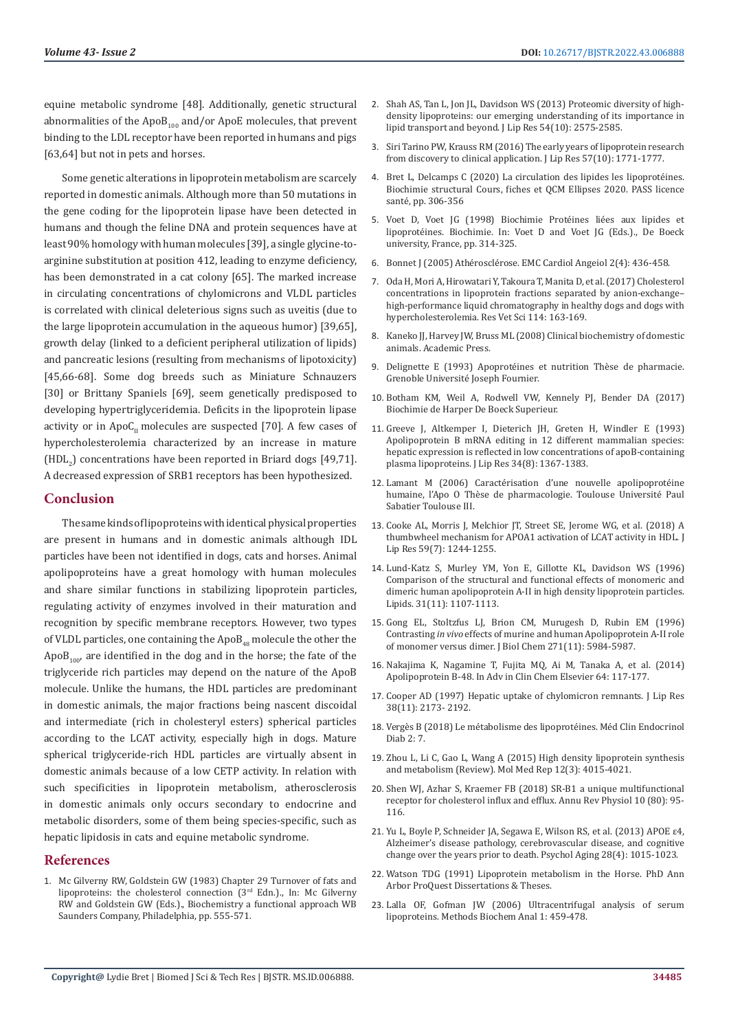equine metabolic syndrome [48]. Additionally, genetic structural abnormalities of the ApoB<sub>100</sub> and/or ApoE molecules, that prevent binding to the LDL receptor have been reported in humans and pigs [63,64] but not in pets and horses.

Some genetic alterations in lipoprotein metabolism are scarcely reported in domestic animals. Although more than 50 mutations in the gene coding for the lipoprotein lipase have been detected in humans and though the feline DNA and protein sequences have at least 90% homology with human molecules [39], a single glycine-toarginine substitution at position 412, leading to enzyme deficiency, has been demonstrated in a cat colony [65]. The marked increase in circulating concentrations of chylomicrons and VLDL particles is correlated with clinical deleterious signs such as uveitis (due to the large lipoprotein accumulation in the aqueous humor) [39,65], growth delay (linked to a deficient peripheral utilization of lipids) and pancreatic lesions (resulting from mechanisms of lipotoxicity) [45,66-68]. Some dog breeds such as Miniature Schnauzers [30] or Brittany Spaniels [69], seem genetically predisposed to developing hypertriglyceridemia. Deficits in the lipoprotein lipase activity or in  $ApoC<sub>u</sub>$  molecules are suspected [70]. A few cases of hypercholesterolemia characterized by an increase in mature  $(HDL<sub>2</sub>)$  concentrations have been reported in Briard dogs [49,71]. A decreased expression of SRB1 receptors has been hypothesized.

#### **Conclusion**

The same kinds of lipoproteins with identical physical properties are present in humans and in domestic animals although IDL particles have been not identified in dogs, cats and horses. Animal apolipoproteins have a great homology with human molecules and share similar functions in stabilizing lipoprotein particles, regulating activity of enzymes involved in their maturation and recognition by specific membrane receptors. However, two types of VLDL particles, one containing the  $ApoB<sub>48</sub>$  molecule the other the  $ApoB<sub>100</sub>$  are identified in the dog and in the horse; the fate of the triglyceride rich particles may depend on the nature of the ApoB molecule. Unlike the humans, the HDL particles are predominant in domestic animals, the major fractions being nascent discoidal and intermediate (rich in cholesteryl esters) spherical particles according to the LCAT activity, especially high in dogs. Mature spherical triglyceride-rich HDL particles are virtually absent in domestic animals because of a low CETP activity. In relation with such specificities in lipoprotein metabolism, atherosclerosis in domestic animals only occurs secondary to endocrine and metabolic disorders, some of them being species-specific, such as hepatic lipidosis in cats and equine metabolic syndrome.

#### **References**

1. Mc Gilverny RW, Goldstein GW (1983) Chapter 29 Turnover of fats and lipoproteins: the cholesterol connection (3<sup>rd</sup> Edn.)., In: Mc Gilverny RW and Goldstein GW (Eds.)., Biochemistry a functional approach WB Saunders Company, Philadelphia, pp. 555-571.

- 2. [Shah AS, Tan L, Jon JL, Davidson WS \(2013\) Proteomic diversity of high](https://pubmed.ncbi.nlm.nih.gov/23434634/)[density lipoproteins: our emerging understanding of its importance in](https://pubmed.ncbi.nlm.nih.gov/23434634/) [lipid transport and beyond. J Lip Res 54\(10\): 2575-2585.](https://pubmed.ncbi.nlm.nih.gov/23434634/)
- 3. [Siri Tarino PW, Krauss RM \(2016\) The early years of lipoprotein research](https://pubmed.ncbi.nlm.nih.gov/27474223/) [from discovery to clinical application. J Lip Res 57\(10\): 1771-1777.](https://pubmed.ncbi.nlm.nih.gov/27474223/)
- 4. Bret L, Delcamps C (2020) La circulation des lipides les lipoprotéines. Biochimie structural Cours, fiches et QCM Ellipses 2020. PASS licence santé, pp. 306-356
- 5. Voet D, Voet JG (1998) Biochimie Protéines liées aux lipides et lipoprotéines. Biochimie. In: Voet D and Voet JG (Eds.)., De Boeck university, France, pp. 314-325.
- 6. Bonnet J (2005) Athérosclérose. EMC Cardiol Angeiol 2(4): 436-458.
- 7. [Oda H, Mori A, Hirowatari Y, Takoura T, Manita D, et al. \(2017\) Cholesterol](https://pubmed.ncbi.nlm.nih.gov/28419940/) [concentrations in lipoprotein fractions separated by anion-exchange–](https://pubmed.ncbi.nlm.nih.gov/28419940/) [high-performance liquid chromatography in healthy dogs and dogs with](https://pubmed.ncbi.nlm.nih.gov/28419940/) [hypercholesterolemia. Res Vet Sci 114: 163-169.](https://pubmed.ncbi.nlm.nih.gov/28419940/)
- 8. Kaneko JJ, Harvey JW, Bruss ML (2008) Clinical biochemistry of domestic animals. Academic Press.
- 9. Delignette E (1993) Apoprotéines et nutrition Thèse de pharmacie. Grenoble Université Joseph Fournier.
- 10. Botham KM, Weil A, Rodwell VW, Kennely PJ, Bender DA (2017) Biochimie de Harper De Boeck Superieur.
- 11. [Greeve J, Altkemper I, Dieterich JH, Greten H, Windler E \(1993\)](file:///F:/New%20Journals/BJSTR.MS.ID.006888/BJSTR-C-21-MRW-462_W/BJSTR-C-21-MRW-462_W/Apolipoprotein%20B%20mRNA%20editing%20in%2012%20different%20mammalian%20species:%20hepatic%20expression%20is%20reflected%20in%20low%20concentrations%20of%20apoB-containing%20plasma%20lipoproteins) [Apolipoprotein B mRNA editing in 12 different mammalian species:](file:///F:/New%20Journals/BJSTR.MS.ID.006888/BJSTR-C-21-MRW-462_W/BJSTR-C-21-MRW-462_W/Apolipoprotein%20B%20mRNA%20editing%20in%2012%20different%20mammalian%20species:%20hepatic%20expression%20is%20reflected%20in%20low%20concentrations%20of%20apoB-containing%20plasma%20lipoproteins) [hepatic expression is reflected in low concentrations of apoB-containing](file:///F:/New%20Journals/BJSTR.MS.ID.006888/BJSTR-C-21-MRW-462_W/BJSTR-C-21-MRW-462_W/Apolipoprotein%20B%20mRNA%20editing%20in%2012%20different%20mammalian%20species:%20hepatic%20expression%20is%20reflected%20in%20low%20concentrations%20of%20apoB-containing%20plasma%20lipoproteins) [plasma lipoproteins. J Lip Res 34\(8\): 1367-1383.](file:///F:/New%20Journals/BJSTR.MS.ID.006888/BJSTR-C-21-MRW-462_W/BJSTR-C-21-MRW-462_W/Apolipoprotein%20B%20mRNA%20editing%20in%2012%20different%20mammalian%20species:%20hepatic%20expression%20is%20reflected%20in%20low%20concentrations%20of%20apoB-containing%20plasma%20lipoproteins)
- 12. Lamant M (2006) Caractérisation d'une nouvelle apolipoprotéine humaine, l'Apo O Thèse de pharmacologie. Toulouse Université Paul Sabatier Toulouse III.
- 13. [Cooke AL, Morris J, Melchior JT, Street SE, Jerome WG, et al. \(2018\) A](https://pubmed.ncbi.nlm.nih.gov/29773713/) [thumbwheel mechanism for APOA1 activation of LCAT activity in HDL. J](https://pubmed.ncbi.nlm.nih.gov/29773713/) [Lip Res 59\(7\): 1244-1255.](https://pubmed.ncbi.nlm.nih.gov/29773713/)
- 14. Lund-Kat[z S, Murley YM, Yon E, Gillotte KL, Davidson WS \(1996\)](https://pubmed.ncbi.nlm.nih.gov/8934442/) [Comparison of the structural and functional effects of monomeric and](https://pubmed.ncbi.nlm.nih.gov/8934442/) [dimeric human apolipoprotein A-II in high density lipoprotein particles.](https://pubmed.ncbi.nlm.nih.gov/8934442/) [Lipids. 31\(11\): 1107-1113.](https://pubmed.ncbi.nlm.nih.gov/8934442/)
- 15. [Gong EL, Stoltzfus LJ, Brion CM, Murugesh D, Rubin EM \(1996\)](https://pubmed.ncbi.nlm.nih.gov/8626380/) Contrasting *in vivo* [effects of murine and human Apolipoprotein A-II role](https://pubmed.ncbi.nlm.nih.gov/8626380/) [of monomer versus dimer. J Biol Chem 271\(11\): 5984-5987.](https://pubmed.ncbi.nlm.nih.gov/8626380/)
- 16. Nakajima K, Nagamine T, Fujita MQ, Ai M, Tanaka A, et al. (2014) Apolipoprotein B-48. In Adv in Clin Chem Elsevier 64: 117-177.
- 17. Cooper AD (1997) Hepatic uptake of chylomicron remnants. J Lip Res 38(11): 2173- 2192.
- 18. Vergès B (2018) Le métabolisme des lipoprotéines. Méd Clin Endocrinol Diab 2: 7.
- 19. [Zhou L, Li C, Gao L, Wang A \(2015\) High density lipoprotein synthesis](https://pubmed.ncbi.nlm.nih.gov/26082200/) [and metabolism \(Review\). Mol Med Rep 12\(3\): 4015-4021.](https://pubmed.ncbi.nlm.nih.gov/26082200/)
- 20. [Shen WJ, Azhar S, Kraemer FB \(2018\) SR-B1 a unique multifunctional](https://pubmed.ncbi.nlm.nih.gov/29125794/) [receptor for cholesterol influx and efflux. Annu Rev Physiol 10 \(80\): 95-](https://pubmed.ncbi.nlm.nih.gov/29125794/) [116.](https://pubmed.ncbi.nlm.nih.gov/29125794/)
- 21. [Yu L, Boyle P, Schneider JA, Segawa E, Wilson RS, et al. \(2013\) APOE ε4,](https://pubmed.ncbi.nlm.nih.gov/23647000/) [Alzheimer's disease pathology, cerebrovascular disease, and cognitive](https://pubmed.ncbi.nlm.nih.gov/23647000/) [change over the years prior to death. Psychol Aging 28\(4\): 1015-1023.](https://pubmed.ncbi.nlm.nih.gov/23647000/)
- 22. Watson TDG (1991) Lipoprotein metabolism in the Horse. PhD Ann Arbor ProQuest Dissertations & Theses.
- 23. [Lalla OF, Gofman JW \(2006\) Ultracentrifugal analysis of serum](https://pubmed.ncbi.nlm.nih.gov/13193538/) [lipoproteins. Methods Biochem Anal 1: 459-478.](https://pubmed.ncbi.nlm.nih.gov/13193538/)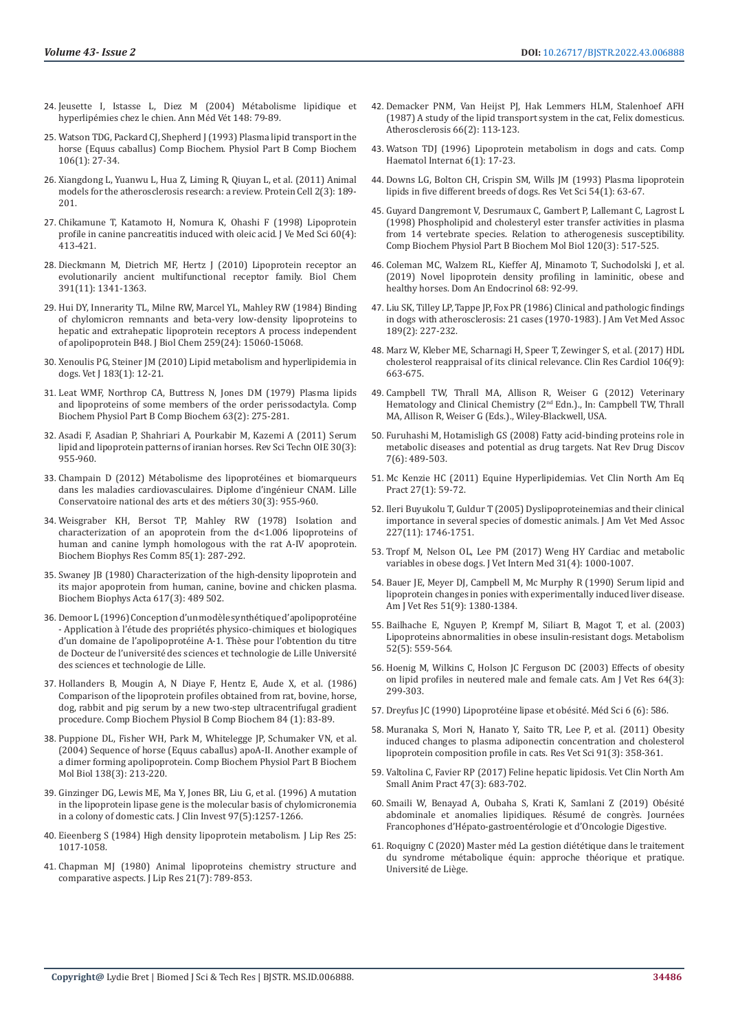- 24. [Jeusette I, Istasse L, Diez M \(2004\) Métabolisme lipidique et](http://www.facmv.ulg.ac.be/amv/articles/2004_148_2_02.pdf)  [hyperlipémies chez le chien. Ann Méd Vét 148: 79-89.](http://www.facmv.ulg.ac.be/amv/articles/2004_148_2_02.pdf)
- 25. Watson TDG, Packard CJ, Shepherd J (1993) Plasma lipid transport in the [horse \(Equus caballus\) Comp Biochem. Physiol Part B Comp Biochem](https://pubmed.ncbi.nlm.nih.gov/8403851/)  [106\(1\): 27-34.](https://pubmed.ncbi.nlm.nih.gov/8403851/)
- 26. [Xiangdong L, Yuanwu L, Hua Z, Liming R, Qiuyan L, et al. \(2011\) Animal](https://www.ncbi.nlm.nih.gov/pmc/articles/PMC4875304/)  [models for the atherosclerosis research: a review. Protein Cell 2\(3\): 189-](https://www.ncbi.nlm.nih.gov/pmc/articles/PMC4875304/) [201.](https://www.ncbi.nlm.nih.gov/pmc/articles/PMC4875304/)
- 27. [Chikamune T, Katamoto H, Nomura K, Ohashi F \(1998\) Lipoprotein](https://pubmed.ncbi.nlm.nih.gov/9592712/)  profile in canine pancreatitis induced with oleic acid. J Ve Med Sci 60(4): [413-421.](https://pubmed.ncbi.nlm.nih.gov/9592712/)
- 28. [Dieckmann M, Dietrich MF, Hertz J \(2010\) Lipoprotein receptor an](https://www.ncbi.nlm.nih.gov/pmc/articles/PMC3529395/)  [evolutionarily ancient multifunctional receptor family. Biol Chem](https://www.ncbi.nlm.nih.gov/pmc/articles/PMC3529395/)  [391\(11\): 1341-1363.](https://www.ncbi.nlm.nih.gov/pmc/articles/PMC3529395/)
- 29. [Hui DY, Innerarity TL, Milne RW, Marcel YL, Mahley RW \(1984\) Binding](https://pubmed.ncbi.nlm.nih.gov/6096356/)  [of chylomicron remnants and beta-very low-density lipoproteins to](https://pubmed.ncbi.nlm.nih.gov/6096356/)  [hepatic and extrahepatic lipoprotein receptors A process independent](https://pubmed.ncbi.nlm.nih.gov/6096356/)  [of apolipoprotein B48. J Biol Chem 259\(24\): 15060-15068.](https://pubmed.ncbi.nlm.nih.gov/6096356/)
- 30. [Xenoulis PG, Steiner JM \(2010\) Lipid metabolism and hyperlipidemia in](https://pubmed.ncbi.nlm.nih.gov/19167915/)  [dogs. Vet J 183\(1\): 12-21.](https://pubmed.ncbi.nlm.nih.gov/19167915/)
- 31. [Leat WMF, Northrop CA, Buttress N, Jones DM \(1979\) Plasma lipids](https://pubmed.ncbi.nlm.nih.gov/318412/)  [and lipoproteins of some members of the order perissodactyla. Comp](https://pubmed.ncbi.nlm.nih.gov/318412/)  [Biochem Physiol Part B Comp Biochem 63\(2\): 275-281.](https://pubmed.ncbi.nlm.nih.gov/318412/)
- 32. [Asadi F, Asadian P, Shahriari A, Pourkabir M, Kazemi A \(2011\) Serum](https://pubmed.ncbi.nlm.nih.gov/22435206/)  [lipid and lipoprotein patterns of iranian horses. Rev Sci Techn OIE 30\(3\):](https://pubmed.ncbi.nlm.nih.gov/22435206/)  [955-960.](https://pubmed.ncbi.nlm.nih.gov/22435206/)
- 33. [Champain D \(2012\) Métabolisme des lipoprotéines et biomarqueurs](https://pubmed.ncbi.nlm.nih.gov/22435206/)  [dans les maladies cardiovasculaires. Diplome d'ingénieur CNAM. Lille](https://pubmed.ncbi.nlm.nih.gov/22435206/)  [Conservatoire national des arts et des métiers 30\(3\): 955-960.](https://pubmed.ncbi.nlm.nih.gov/22435206/)
- 34. [Weisgraber KH, Bersot TP, Mahley RW \(1978\) Isolation and](https://pubmed.ncbi.nlm.nih.gov/217374/)  [characterization of an apoprotein from the d<1.006 lipoproteins of](https://pubmed.ncbi.nlm.nih.gov/217374/)  [human and canine lymph homologous with the rat A-IV apoprotein.](https://pubmed.ncbi.nlm.nih.gov/217374/)  [Biochem Biophys Res Comm 85\(1\): 287-292.](https://pubmed.ncbi.nlm.nih.gov/217374/)
- 35. [Swaney JB \(1980\) Characterization of the high-density lipoprotein and](https://pubmed.ncbi.nlm.nih.gov/6768396/)  [its major apoprotein from human, canine, bovine and chicken plasma.](https://pubmed.ncbi.nlm.nih.gov/6768396/)  [Biochem Biophys Acta 617\(3\): 489 502.](https://pubmed.ncbi.nlm.nih.gov/6768396/)
- 36. Demoor L (1996) Conception d'un modèle synthétique d'apolipoprotéine - Application à l'étude des propriétés physico-chimiques et biologiques d'un domaine de l'apolipoprotéine A-1. Thèse pour l'obtention du titre de Docteur de l'université des sciences et technologie de Lille Université des sciences et technologie de Lille.
- 37. [Hollanders B, Mougin A, N Diaye F, Hentz E, Aude X, et al. \(1986\)](https://pubmed.ncbi.nlm.nih.gov/3720292/)  [Comparison of the lipoprotein profiles obtained from rat, bovine, horse,](https://pubmed.ncbi.nlm.nih.gov/3720292/)  [dog, rabbit and pig serum by a new two-step ultracentrifugal gradient](https://pubmed.ncbi.nlm.nih.gov/3720292/)  [procedure. Comp Biochem Physiol B Comp Biochem 84 \(1\): 83-89.](https://pubmed.ncbi.nlm.nih.gov/3720292/)
- 38. [Puppione DL, Fisher WH, Park M, Whitelegge JP, Schumaker VN, et al.](https://pubmed.ncbi.nlm.nih.gov/15253869/)  [\(2004\) Sequence of horse \(Equus caballus\) apoA-II. Another example of](https://pubmed.ncbi.nlm.nih.gov/15253869/)  [a dimer forming apolipoprotein. Comp Biochem Physiol Part B Biochem](https://pubmed.ncbi.nlm.nih.gov/15253869/)  [Mol Biol 138\(3\): 213-220.](https://pubmed.ncbi.nlm.nih.gov/15253869/)
- 39. [Ginzinger DG, Lewis ME, Ma Y, Jones BR, Liu G, et al. \(1996\) A mutation](https://pubmed.ncbi.nlm.nih.gov/8636438/)  [in the lipoprotein lipase gene is the molecular basis of chylomicronemia](https://pubmed.ncbi.nlm.nih.gov/8636438/)  [in a colony of domestic cats. J Clin Invest 97\(5\):1257-1266.](https://pubmed.ncbi.nlm.nih.gov/8636438/)
- 40. Eieenberg S (1984) High density lipoprotein metabolism. J Lip Res 25: 1017-1058.
- 41. [Chapman MJ \(1980\) Animal lipoproteins chemistry structure and](https://pubmed.ncbi.nlm.nih.gov/7003040/)  [comparative aspects. J Lip Res 21\(7\): 789-853.](https://pubmed.ncbi.nlm.nih.gov/7003040/)
- 42. [Demacker PNM, Van Heijst PJ, Hak Lemmers HLM, Stalenhoef AFH](https://pubmed.ncbi.nlm.nih.gov/3632743/) [\(1987\) A study of the lipid transport system in the cat, Felix domesticus.](https://pubmed.ncbi.nlm.nih.gov/3632743/) [Atherosclerosis 66\(2\): 113-123.](https://pubmed.ncbi.nlm.nih.gov/3632743/)
- 43. Watson TDJ (1996) Lipoprotein metabolism in dogs and cats. Comp Haematol Internat 6(1): 17-23.
- 44. [Downs LG, Bolton CH, Crispin SM, Wills JM \(1993\) Plasma lipoprotein](https://pubmed.ncbi.nlm.nih.gov/8434150/) [lipids in five different breeds of dogs. Res Vet Sci 54\(1\): 63-67.](https://pubmed.ncbi.nlm.nih.gov/8434150/)
- 45. [Guyard Dangremont V, Desrumaux C, Gambert P, Lallemant C, Lagrost L](https://pubmed.ncbi.nlm.nih.gov/9787811/) [\(1998\) Phospholipid and cholesteryl ester transfer activities in plasma](https://pubmed.ncbi.nlm.nih.gov/9787811/) [from 14 vertebrate species. Relation to atherogenesis susceptibility.](https://pubmed.ncbi.nlm.nih.gov/9787811/) [Comp Biochem Physiol Part B Biochem Mol Biol 120\(3\): 517-525.](https://pubmed.ncbi.nlm.nih.gov/9787811/)
- 46. [Coleman MC, Walzem RL, Kieffer AJ, Minamoto T, Suchodolski J, et al.](https://pubmed.ncbi.nlm.nih.gov/30927630/) [\(2019\) Novel lipoprotein density profiling in laminitic, obese and](https://pubmed.ncbi.nlm.nih.gov/30927630/) [healthy horses. Dom An Endocrinol 68: 92-99.](https://pubmed.ncbi.nlm.nih.gov/30927630/)
- 47. [Liu SK, Tilley LP, Tappe JP, Fox PR \(1986\) Clinical and pathologic findings](https://pubmed.ncbi.nlm.nih.gov/3744984/) [in dogs with atherosclerosis: 21 cases \(1970-1983\). J Am Vet Med Assoc](https://pubmed.ncbi.nlm.nih.gov/3744984/) [189\(2\): 227-232.](https://pubmed.ncbi.nlm.nih.gov/3744984/)
- 48. [Marz W, Kleber ME, Scharnagi H, Speer T, Zewinger S, et al. \(2017\) HDL](https://pubmed.ncbi.nlm.nih.gov/28342064/) [cholesterol reappraisal of its clinical relevance. Clin Res Cardiol 106\(9\):](https://pubmed.ncbi.nlm.nih.gov/28342064/) [663-675.](https://pubmed.ncbi.nlm.nih.gov/28342064/)
- 49. Campbell TW, Thrall MA, Allison R, Weiser G (2012) Veterinary Hematology and Clinical Chemistry (2nd Edn.)., In: Campbell TW, Thrall MA, Allison R, Weiser G (Eds.)., Wiley-Blackwell, USA.
- 50. [Furuhashi M, Hotamisligh GS \(2008\) Fatty acid-binding proteins role in](https://pubmed.ncbi.nlm.nih.gov/18511927/) [metabolic diseases and potential as drug targets. Nat Rev Drug Discov](https://pubmed.ncbi.nlm.nih.gov/18511927/) [7\(6\): 489-503.](https://pubmed.ncbi.nlm.nih.gov/18511927/)
- 51. [Mc Kenzie HC \(2011\) Equine Hyperlipidemias. Vet Clin North Am Eq](https://pubmed.ncbi.nlm.nih.gov/21392654/) [Pract 27\(1\): 59-72.](https://pubmed.ncbi.nlm.nih.gov/21392654/)
- 52. [Ileri Buyukolu T, Guldur T \(2005\) Dyslipoproteinemias and their clinical](https://pubmed.ncbi.nlm.nih.gov/16342522/) [importance in several species of domestic animals. J Am Vet Med Assoc](https://pubmed.ncbi.nlm.nih.gov/16342522/) [227\(11\): 1746-1751.](https://pubmed.ncbi.nlm.nih.gov/16342522/)
- 53. Tropf M, Nelson OL, Lee PM (2017) Weng HY Cardiac and metabolic variables in obese dogs. J Vet Intern Med 31(4): 1000-1007.
- 54. [Bauer JE, Meyer DJ, Campbell M, Mc Murphy R \(1990\) Serum lipid and](https://pubmed.ncbi.nlm.nih.gov/2396785/) [lipoprotein changes in ponies with experimentally induced liver disease.](https://pubmed.ncbi.nlm.nih.gov/2396785/) [Am J Vet Res 51\(9\): 1380-1384.](https://pubmed.ncbi.nlm.nih.gov/2396785/)
- 55. [Bailhache E, Nguyen P, Krempf M, Siliart B, Magot T, et al. \(2003\)](https://pubmed.ncbi.nlm.nih.gov/12759884/) [Lipoproteins abnormalities in obese insulin-resistant dogs. Metabolism](https://pubmed.ncbi.nlm.nih.gov/12759884/) [52\(5\): 559-564.](https://pubmed.ncbi.nlm.nih.gov/12759884/)
- 56. [Hoenig M, Wilkins C, Holson JC Ferguson DC \(2003\) Effects of obesity](https://pubmed.ncbi.nlm.nih.gov/12661869/) [on lipid profiles in neutered male and female cats. Am J Vet Res 64\(3\):](https://pubmed.ncbi.nlm.nih.gov/12661869/) [299-303.](https://pubmed.ncbi.nlm.nih.gov/12661869/)
- 57. Dreyfus JC (1990) Lipoprotéine lipase et obésité. Méd Sci 6 (6): 586.
- 58. [Muranaka S, Mori N, Hanato Y, Saito TR, Lee P, et al. \(2011\) Obesity](https://pubmed.ncbi.nlm.nih.gov/20980035/) [induced changes to plasma adiponectin concentration and cholesterol](https://pubmed.ncbi.nlm.nih.gov/20980035/) [lipoprotein composition profile in cats. Res Vet Sci 91\(3\): 358-361.](https://pubmed.ncbi.nlm.nih.gov/20980035/)
- 59. [Valtolina C, Favier RP \(2017\) Feline hepatic lipidosis. Vet Clin North Am](https://pubmed.ncbi.nlm.nih.gov/15627635/) [Small Anim Pract 47\(3\): 683-702.](https://pubmed.ncbi.nlm.nih.gov/15627635/)
- 60. Smaili W, Benayad A, Oubaha S, Krati K, Samlani Z (2019) Obésité abdominale et anomalies lipidiques. Résumé de congrès. Journées Francophones d'Hépato-gastroentérologie et d'Oncologie Digestive.
- 61. Roquigny C (2020) Master méd La gestion diététique dans le traitement du syndrome métabolique équin: approche théorique et pratique. Université de Liège.